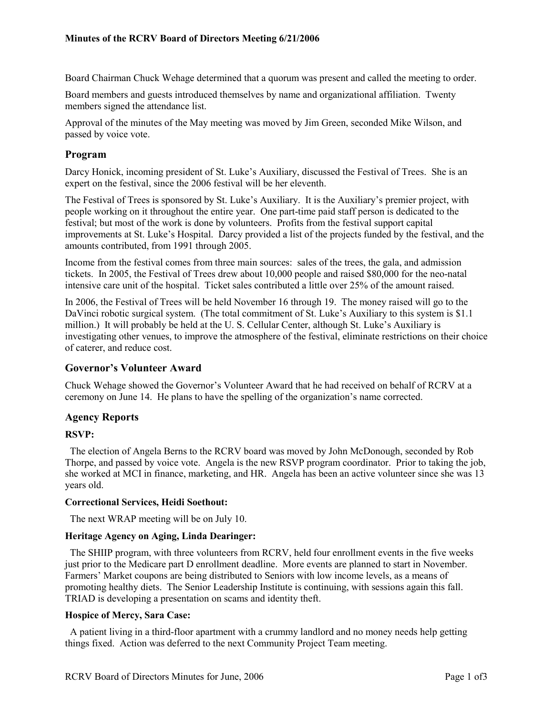Board Chairman Chuck Wehage determined that a quorum was present and called the meeting to order.

Board members and guests introduced themselves by name and organizational affiliation. Twenty members signed the attendance list.

Approval of the minutes of the May meeting was moved by Jim Green, seconded Mike Wilson, and passed by voice vote.

# **Program**

Darcy Honick, incoming president of St. Luke's Auxiliary, discussed the Festival of Trees. She is an expert on the festival, since the 2006 festival will be her eleventh.

The Festival of Trees is sponsored by St. Luke's Auxiliary. It is the Auxiliary's premier project, with people working on it throughout the entire year. One part-time paid staff person is dedicated to the festival; but most of the work is done by volunteers. Profits from the festival support capital improvements at St. Luke's Hospital. Darcy provided a list of the projects funded by the festival, and the amounts contributed, from 1991 through 2005.

Income from the festival comes from three main sources: sales of the trees, the gala, and admission tickets. In 2005, the Festival of Trees drew about 10,000 people and raised \$80,000 for the neo-natal intensive care unit of the hospital. Ticket sales contributed a little over 25% of the amount raised.

In 2006, the Festival of Trees will be held November 16 through 19. The money raised will go to the DaVinci robotic surgical system. (The total commitment of St. Luke's Auxiliary to this system is \$1.1 million.) It will probably be held at the U. S. Cellular Center, although St. Luke's Auxiliary is investigating other venues, to improve the atmosphere of the festival, eliminate restrictions on their choice of caterer, and reduce cost.

# **Governor's Volunteer Award**

Chuck Wehage showed the Governor's Volunteer Award that he had received on behalf of RCRV at a ceremony on June 14. He plans to have the spelling of the organization's name corrected.

## **Agency Reports**

## **RSVP:**

The election of Angela Berns to the RCRV board was moved by John McDonough, seconded by Rob Thorpe, and passed by voice vote. Angela is the new RSVP program coordinator. Prior to taking the job, she worked at MCI in finance, marketing, and HR. Angela has been an active volunteer since she was 13 years old.

## **Correctional Services, Heidi Soethout:**

The next WRAP meeting will be on July 10.

# **Heritage Agency on Aging, Linda Dearinger:**

The SHIIP program, with three volunteers from RCRV, held four enrollment events in the five weeks just prior to the Medicare part D enrollment deadline. More events are planned to start in November. Farmers' Market coupons are being distributed to Seniors with low income levels, as a means of promoting healthy diets. The Senior Leadership Institute is continuing, with sessions again this fall. TRIAD is developing a presentation on scams and identity theft.

# **Hospice of Mercy, Sara Case:**

A patient living in a third-floor apartment with a crummy landlord and no money needs help getting things fixed. Action was deferred to the next Community Project Team meeting.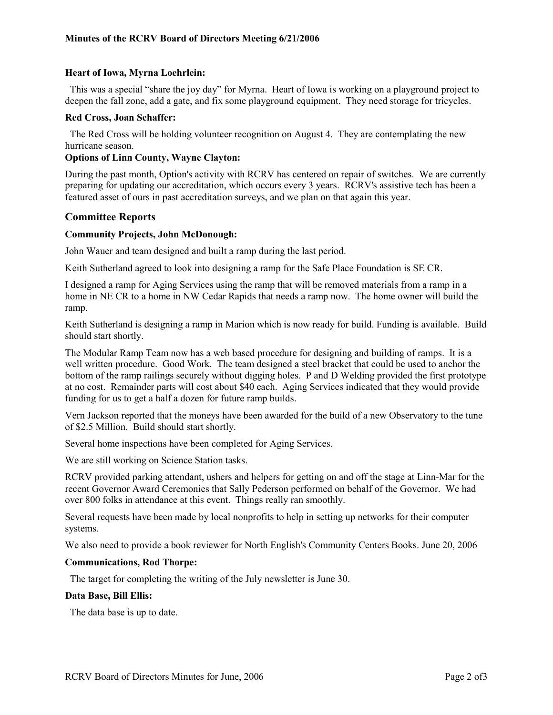# **Heart of Iowa, Myrna Loehrlein:**

This was a special "share the joy day" for Myrna. Heart of Iowa is working on a playground project to deepen the fall zone, add a gate, and fix some playground equipment. They need storage for tricycles.

#### **Red Cross, Joan Schaffer:**

The Red Cross will be holding volunteer recognition on August 4. They are contemplating the new hurricane season.

## **Options of Linn County, Wayne Clayton:**

During the past month, Option's activity with RCRV has centered on repair of switches. We are currently preparing for updating our accreditation, which occurs every 3 years. RCRV's assistive tech has been a featured asset of ours in past accreditation surveys, and we plan on that again this year.

## **Committee Reports**

#### **Community Projects, John McDonough:**

John Wauer and team designed and built a ramp during the last period.

Keith Sutherland agreed to look into designing a ramp for the Safe Place Foundation is SE CR.

I designed a ramp for Aging Services using the ramp that will be removed materials from a ramp in a home in NE CR to a home in NW Cedar Rapids that needs a ramp now. The home owner will build the ramp.

Keith Sutherland is designing a ramp in Marion which is now ready for build. Funding is available. Build should start shortly.

The Modular Ramp Team now has a web based procedure for designing and building of ramps. It is a well written procedure. Good Work. The team designed a steel bracket that could be used to anchor the bottom of the ramp railings securely without digging holes. P and D Welding provided the first prototype at no cost. Remainder parts will cost about \$40 each. Aging Services indicated that they would provide funding for us to get a half a dozen for future ramp builds.

Vern Jackson reported that the moneys have been awarded for the build of a new Observatory to the tune of \$2.5 Million. Build should start shortly.

Several home inspections have been completed for Aging Services.

We are still working on Science Station tasks.

RCRV provided parking attendant, ushers and helpers for getting on and off the stage at Linn-Mar for the recent Governor Award Ceremonies that Sally Pederson performed on behalf of the Governor. We had over 800 folks in attendance at this event. Things really ran smoothly.

Several requests have been made by local nonprofits to help in setting up networks for their computer systems.

We also need to provide a book reviewer for North English's Community Centers Books. June 20, 2006

#### **Communications, Rod Thorpe:**

The target for completing the writing of the July newsletter is June 30.

#### **Data Base, Bill Ellis:**

The data base is up to date.